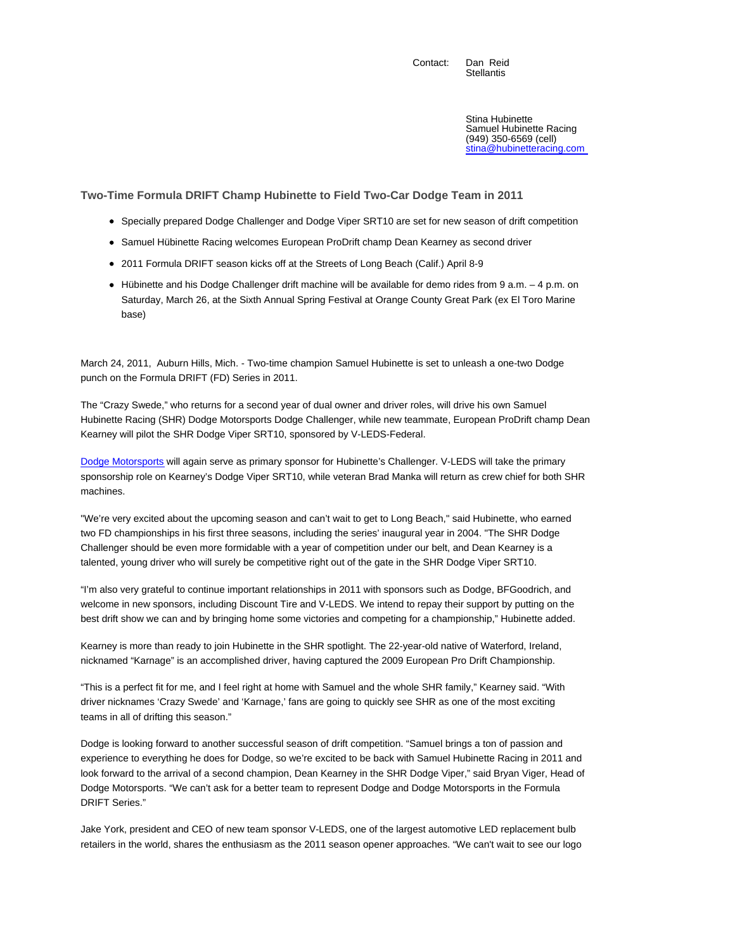Contact: Dan Reid **Stellantis** 

> Stina Hubinette Samuel Hubinette Racing (949) 350-6569 (cell) stina@hubinetteracing.com

**Two-Time Formula DRIFT Champ Hubinette to Field Two-Car Dodge Team in 2011**

- Specially prepared Dodge Challenger and Dodge Viper SRT10 are set for new season of drift competition
- Samuel Hübinette Racing welcomes European ProDrift champ Dean Kearney as second driver
- 2011 Formula DRIFT season kicks off at the Streets of Long Beach (Calif.) April 8-9
- Hübinette and his Dodge Challenger drift machine will be available for demo rides from 9 a.m. 4 p.m. on Saturday, March 26, at the Sixth Annual Spring Festival at Orange County Great Park (ex El Toro Marine base)

March 24, 2011, Auburn Hills, Mich. - Two-time champion Samuel Hubinette is set to unleash a one-two Dodge punch on the Formula DRIFT (FD) Series in 2011.

The "Crazy Swede," who returns for a second year of dual owner and driver roles, will drive his own Samuel Hubinette Racing (SHR) Dodge Motorsports Dodge Challenger, while new teammate, European ProDrift champ Dean Kearney will pilot the SHR Dodge Viper SRT10, sponsored by V-LEDS-Federal.

Dodge Motorsports will again serve as primary sponsor for Hubinette's Challenger. V-LEDS will take the primary sponsorship role on Kearney's Dodge Viper SRT10, while veteran Brad Manka will return as crew chief for both SHR machines.

"We're very excited about the upcoming season and can't wait to get to Long Beach," said Hubinette, who earned two FD championships in his first three seasons, including the series' inaugural year in 2004. "The SHR Dodge Challenger should be even more formidable with a year of competition under our belt, and Dean Kearney is a talented, young driver who will surely be competitive right out of the gate in the SHR Dodge Viper SRT10.

"I'm also very grateful to continue important relationships in 2011 with sponsors such as Dodge, BFGoodrich, and welcome in new sponsors, including Discount Tire and V-LEDS. We intend to repay their support by putting on the best drift show we can and by bringing home some victories and competing for a championship," Hubinette added.

Kearney is more than ready to join Hubinette in the SHR spotlight. The 22-year-old native of Waterford, Ireland, nicknamed "Karnage" is an accomplished driver, having captured the 2009 European Pro Drift Championship.

"This is a perfect fit for me, and I feel right at home with Samuel and the whole SHR family," Kearney said. "With driver nicknames 'Crazy Swede' and 'Karnage,' fans are going to quickly see SHR as one of the most exciting teams in all of drifting this season."

Dodge is looking forward to another successful season of drift competition. "Samuel brings a ton of passion and experience to everything he does for Dodge, so we're excited to be back with Samuel Hubinette Racing in 2011 and look forward to the arrival of a second champion, Dean Kearney in the SHR Dodge Viper," said Bryan Viger, Head of Dodge Motorsports. "We can't ask for a better team to represent Dodge and Dodge Motorsports in the Formula DRIFT Series."

Jake York, president and CEO of new team sponsor V-LEDS, one of the largest automotive LED replacement bulb retailers in the world, shares the enthusiasm as the 2011 season opener approaches. "We can't wait to see our logo